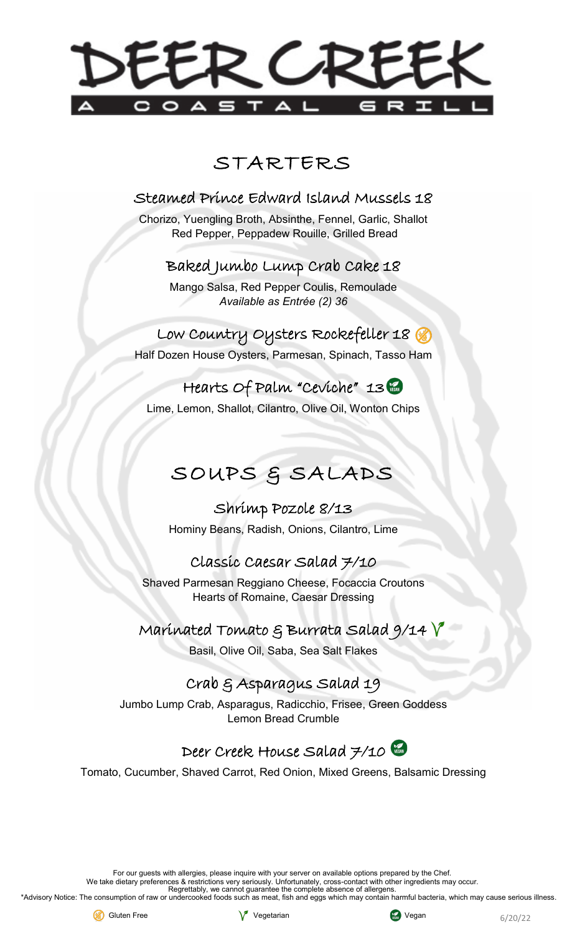# DEER CREEK

# STARTERS

### Steamed Prince Edward Island Mussels 18

Chorizo, Yuengling Broth, Absinthe, Fennel, Garlic, Shallot Red Pepper, Peppadew Rouille, Grilled Bread

#### Baked Jumbo Lump Crab Cake 18

Mango Salsa, Red Pepper Coulis, Remoulade *Available as Entrée (2) 36*

Low Country Oysters Rockefeller 18 Half Dozen House Oysters, Parmesan, Spinach, Tasso Ham

Hearts Of Palm "Ceviche" 13 Lime, Lemon, Shallot, Cilantro, Olive Oil, Wonton Chips

# SOUPS & SALADS

Shrimp Pozole 8/13 Hominy Beans, Radish, Onions, Cilantro, Lime

## Classic Caesar Salad 7/10

Shaved Parmesan Reggiano Cheese, Focaccia Croutons Hearts of Romaine, Caesar Dressing

#### Marínated Tomato  $\xi$  Burrata Salad 9/14  $\sqrt[3]{}$

Basil, Olive Oil, Saba, Sea Salt Flakes

## Crab & Asparagus Salad 19

Jumbo Lump Crab, Asparagus, Radicchio, Frisee, Green Goddess Lemon Bread Crumble

# Deer Creek House Salad 7/10

Tomato, Cucumber, Shaved Carrot, Red Onion, Mixed Greens, Balsamic Dressing

For our guests with allergies, please inquire with your server on available options prepared by the Chef.

We take dietary preferences & restrictions very seriously. Unfortunately, cross-contact with other ingredients may occur.

Regrettably, we cannot guarantee the complete absence of allergens

\*Advisory Notice: The consumption of raw or undercooked foods such as meat, fish and eggs which may contain harmful bacteria, which may cause serious illness.